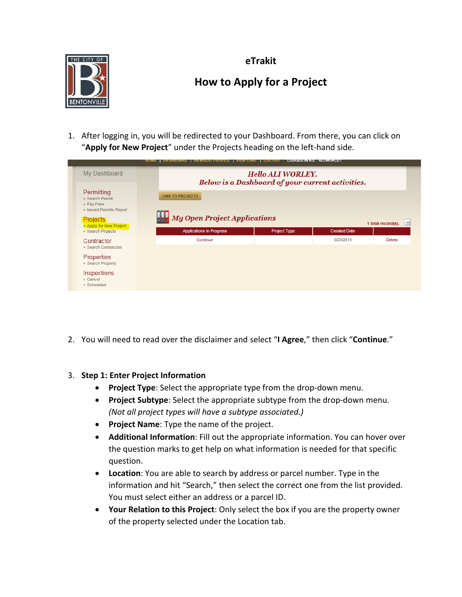

**eTrakit**

# **How to Apply for a Project**

1. After logging in, you will be redirected to your Dashboard. From there, you can click on "**Apply for New Project**" under the Projects heading on the left-hand side.

| HUME   DASHBUARD   VIEW/EDITPROFILE   VIEW CART   LOG OUT   LOGGED IN AS: ALI WORLET |                                                                                              |                                                           |                     |                     |        |  |
|--------------------------------------------------------------------------------------|----------------------------------------------------------------------------------------------|-----------------------------------------------------------|---------------------|---------------------|--------|--|
|                                                                                      | My Dashboard<br><b>Hello ALI WORLEY.</b><br>Below is a Dashboard of your current activities. |                                                           |                     |                     |        |  |
|                                                                                      | Permitting<br>▶ Search Permit<br>$\triangleright$ Pay Fees<br>I Issued Permits Report        | <b>LINK TO PROJECTS</b>                                   |                     |                     |        |  |
|                                                                                      | <b>Projects</b><br>Apply for New Project<br>Search Projects                                  | <b>My Open Project Applications</b><br>1 total record(s). |                     |                     |        |  |
|                                                                                      |                                                                                              | <b>Applications In Progress</b>                           | <b>Project Type</b> | <b>Created Date</b> |        |  |
|                                                                                      | Contractor<br>Search Contractors                                                             | Continue                                                  |                     | 5/23/2018           | Delete |  |
|                                                                                      | Properties<br>▶ Search Property                                                              |                                                           |                     |                     |        |  |
|                                                                                      | Inspections<br>$\triangleright$ Cancel<br>$\blacktriangleright$ Scheduled                    |                                                           |                     |                     |        |  |

2. You will need to read over the disclaimer and select "**I Agree**," then click "**Continue**."

## 3. **Step 1: Enter Project Information**

- **Project Type**: Select the appropriate type from the drop-down menu.
- **Project Subtype**: Select the appropriate subtype from the drop-down menu. *(Not all project types will have a subtype associated.)*
- **Project Name**: Type the name of the project.
- **Additional Information**: Fill out the appropriate information. You can hover over the question marks to get help on what information is needed for that specific question.
- **Location**: You are able to search by address or parcel number. Type in the information and hit "Search," then select the correct one from the list provided. You must select either an address or a parcel ID.
- **Your Relation to this Project**: Only select the box if you are the property owner of the property selected under the Location tab.